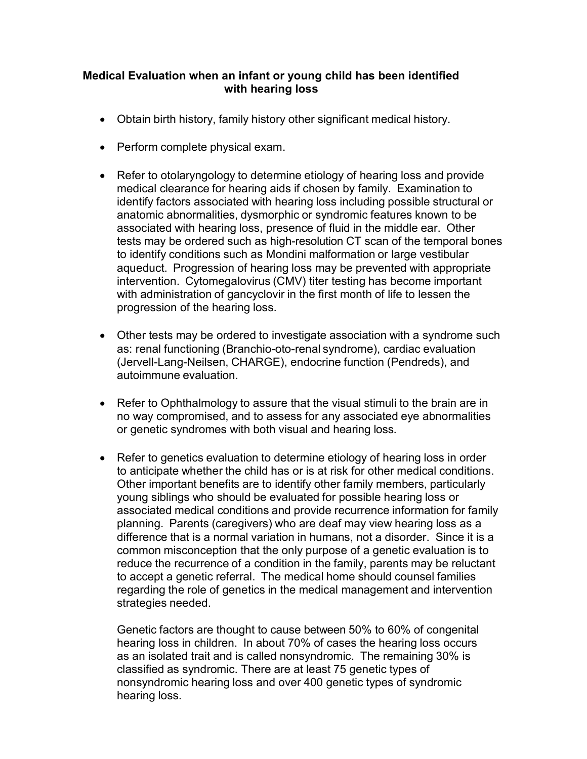## Medical Evaluation when an infant or young child has been identified with hearing loss

- Obtain birth history, family history other significant medical history.
- Perform complete physical exam.
- Refer to otolaryngology to determine etiology of hearing loss and provide medical clearance for hearing aids if chosen by family. Examination to identify factors associated with hearing loss including possible structural or anatomic abnormalities, dysmorphic or syndromic features known to be associated with hearing loss, presence of fluid in the middle ear. Other tests may be ordered such as high-resolution CT scan of the temporal bones to identify conditions such as Mondini malformation or large vestibular aqueduct. Progression of hearing loss may be prevented with appropriate intervention. Cytomegalovirus (CMV) titer testing has become important with administration of gancyclovir in the first month of life to lessen the progression of the hearing loss.
- Other tests may be ordered to investigate association with a syndrome such as: renal functioning (Branchio-oto-renal syndrome), cardiac evaluation (Jervell-Lang-Neilsen, CHARGE), endocrine function (Pendreds), and autoimmune evaluation.
- Refer to Ophthalmology to assure that the visual stimuli to the brain are in no way compromised, and to assess for any associated eye abnormalities or genetic syndromes with both visual and hearing loss.
- Refer to genetics evaluation to determine etiology of hearing loss in order to anticipate whether the child has or is at risk for other medical conditions. Other important benefits are to identify other family members, particularly young siblings who should be evaluated for possible hearing loss or associated medical conditions and provide recurrence information for family planning. Parents (caregivers) who are deaf may view hearing loss as a difference that is a normal variation in humans, not a disorder. Since it is a common misconception that the only purpose of a genetic evaluation is to reduce the recurrence of a condition in the family, parents may be reluctant to accept a genetic referral. The medical home should counsel families regarding the role of genetics in the medical management and intervention strategies needed.

Genetic factors are thought to cause between 50% to 60% of congenital hearing loss in children. In about 70% of cases the hearing loss occurs as an isolated trait and is called nonsyndromic. The remaining 30% is classified as syndromic. There are at least 75 genetic types of nonsyndromic hearing loss and over 400 genetic types of syndromic hearing loss.